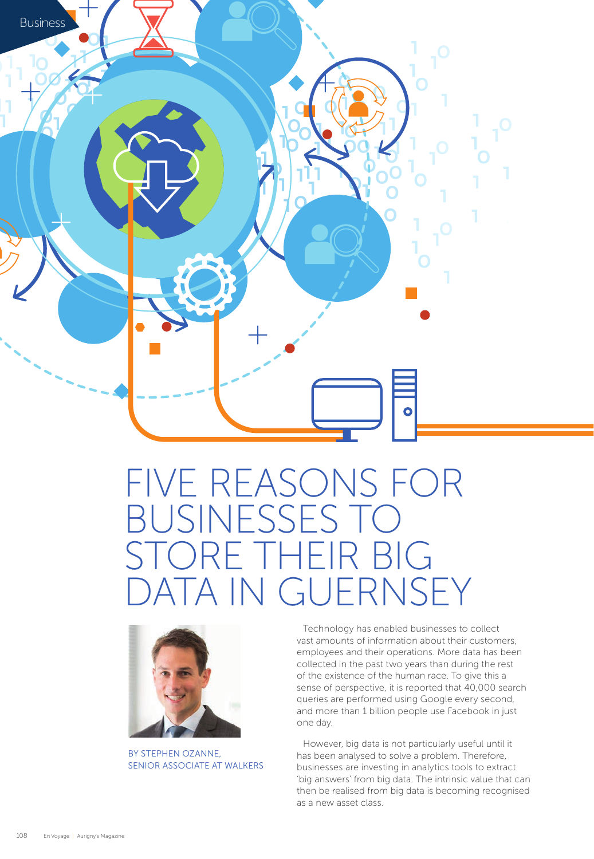

# FIVE REASONS FOR BUSINESSES TO STORE THEIR BIG DATA IN GUERNSEY



BY STEPHEN OZANNE, SENIOR ASSOCIATE AT WALKERS

Technology has enabled businesses to collect vast amounts of information about their customers, employees and their operations. More data has been collected in the past two years than during the rest of the existence of the human race. To give this a sense of perspective, it is reported that 40,000 search queries are performed using Google every second, and more than 1 billion people use Facebook in just one day.

However, big data is not particularly useful until it has been analysed to solve a problem. Therefore, businesses are investing in analytics tools to extract 'big answers' from big data. The intrinsic value that can then be realised from big data is becoming recognised as a new asset class.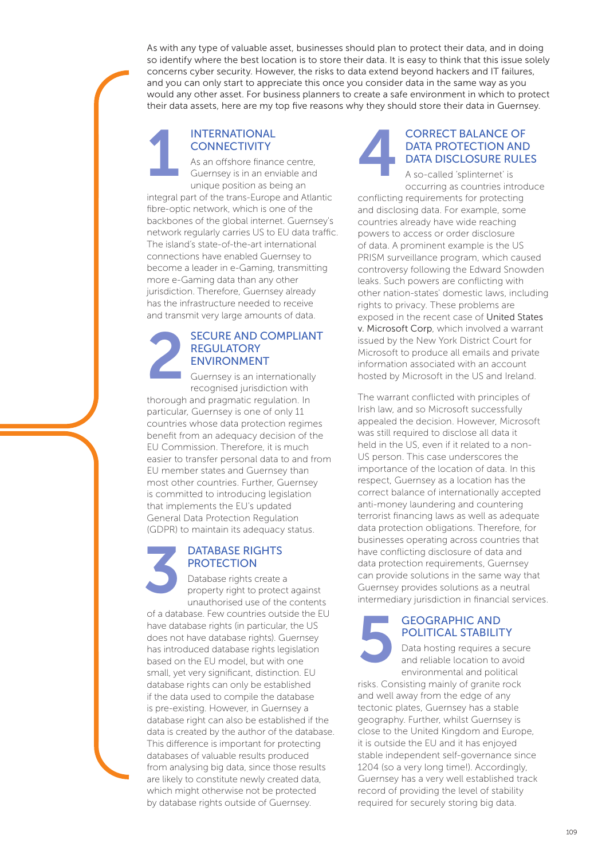As with any type of valuable asset, businesses should plan to protect their data, and in doing so identify where the best location is to store their data. It is easy to think that this issue solely concerns cyber security. However, the risks to data extend beyond hackers and IT failures, and you can only start to appreciate this once you consider data in the same way as you would any other asset. For business planners to create a safe environment in which to protect their data assets, here are my top five reasons why they should store their data in Guernsey.

#### INTERNATIONAL **CONNECTIVITY**

As an offshore finance centre, Guernsey is in an enviable and unique position as being an integral part of the trans-Europe and Atlantic fibre-optic network, which is one of the 1

backbones of the global internet. Guernsey's network regularly carries US to EU data traffic. The island's state-of-the-art international connections have enabled Guernsey to become a leader in e-Gaming, transmitting more e-Gaming data than any other jurisdiction. Therefore, Guernsey already has the infrastructure needed to receive and transmit very large amounts of data.

#### SECURE AND COMPLIANT **REGULATORY** ENVIRONMENT

Guernsey is an internationally recognised jurisdiction with thorough and pragmatic regulation. In particular, Guernsey is one of only 11 countries whose data protection regimes benefit from an adequacy decision of the EU Commission. Therefore, it is much easier to transfer personal data to and from EU member states and Guernsey than most other countries. Further, Guernsey is committed to introducing legislation that implements the EU's updated General Data Protection Regulation (GDPR) to maintain its adequacy status. 2

#### DATABASE RIGHTS PROTECTION

Database rights create a property right to protect against unauthorised use of the contents of a database. Few countries outside the EU have database rights (in particular, the US does not have database rights). Guernsey has introduced database rights legislation based on the EU model, but with one small, yet very significant, distinction. EU database rights can only be established if the data used to compile the database is pre-existing. However, in Guernsey a database right can also be established if the data is created by the author of the database. This difference is important for protecting databases of valuable results produced from analysing big data, since those results are likely to constitute newly created data, which might otherwise not be protected by database rights outside of Guernsey. 3



#### CORRECT BALANCE OF DATA PROTECTION AND DATA DISCLOSURE RULES

A so-called 'splinternet' is occurring as countries introduce

conflicting requirements for protecting and disclosing data. For example, some countries already have wide reaching powers to access or order disclosure of data. A prominent example is the US PRISM surveillance program, which caused controversy following the Edward Snowden leaks. Such powers are conflicting with other nation-states' domestic laws, including rights to privacy. These problems are exposed in the recent case of United States v. Microsoft Corp, which involved a warrant issued by the New York District Court for Microsoft to produce all emails and private information associated with an account hosted by Microsoft in the US and Ireland.

The warrant conflicted with principles of Irish law, and so Microsoft successfully appealed the decision. However, Microsoft was still required to disclose all data it held in the US, even if it related to a non-US person. This case underscores the importance of the location of data. In this respect, Guernsey as a location has the correct balance of internationally accepted anti-money laundering and countering terrorist financing laws as well as adequate data protection obligations. Therefore, for businesses operating across countries that have conflicting disclosure of data and data protection requirements, Guernsey can provide solutions in the same way that Guernsey provides solutions as a neutral intermediary jurisdiction in financial services.

### GEOGRAPHIC AND POLITICAL STABILITY 5

Data hosting requires a secure and reliable location to avoid environmental and political

risks. Consisting mainly of granite rock and well away from the edge of any tectonic plates, Guernsey has a stable geography. Further, whilst Guernsey is close to the United Kingdom and Europe, it is outside the EU and it has enjoyed stable independent self-governance since 1204 (so a very long time!). Accordingly, Guernsey has a very well established track record of providing the level of stability required for securely storing big data.